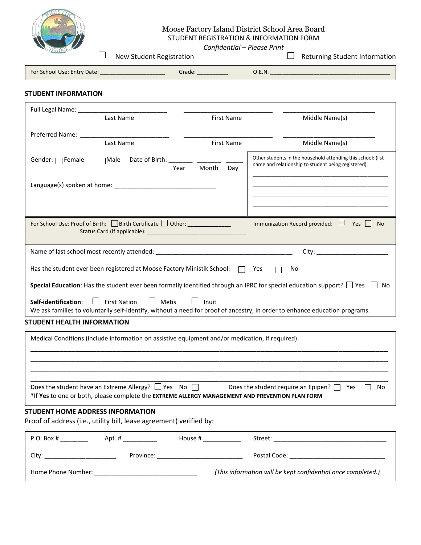

# Moose Factory Island District School Area Board STUDENT REGISTRATION & INFORMATION FORM *Confidential – Please Print*

New Student Registration  $\Box$  New Student Registration

| <b>For Sc</b><br>' School Use: Entry Date: \ | Grade | - NI |
|----------------------------------------------|-------|------|
|----------------------------------------------|-------|------|

## **STUDENT INFORMATION**

| Full Legal Name: ___________                                                                                                                                                                                            |                                                                                                                    |  |  |  |  |  |
|-------------------------------------------------------------------------------------------------------------------------------------------------------------------------------------------------------------------------|--------------------------------------------------------------------------------------------------------------------|--|--|--|--|--|
| Last Name<br><b>First Name</b>                                                                                                                                                                                          | Middle Name(s)                                                                                                     |  |  |  |  |  |
| Preferred Name:                                                                                                                                                                                                         |                                                                                                                    |  |  |  |  |  |
| Last Name<br><b>First Name</b>                                                                                                                                                                                          | Middle Name(s)                                                                                                     |  |  |  |  |  |
| Gender: $\Box$ Female<br>$\Box$ Male<br>Date of Birth: _<br>Year<br>Month<br>Day                                                                                                                                        | Other students in the household attending this school: (list<br>name and relationship to student being registered) |  |  |  |  |  |
|                                                                                                                                                                                                                         |                                                                                                                    |  |  |  |  |  |
|                                                                                                                                                                                                                         |                                                                                                                    |  |  |  |  |  |
| For School Use: Proof of Birth: Birth Certificate $\Box$ Other:<br>Immunization Record provided: $\Box$ Yes<br><b>No</b>                                                                                                |                                                                                                                    |  |  |  |  |  |
|                                                                                                                                                                                                                         |                                                                                                                    |  |  |  |  |  |
| Has the student ever been registered at Moose Factory Ministik School:<br>Yes<br>No                                                                                                                                     |                                                                                                                    |  |  |  |  |  |
| Special Education: Has the student ever been formally identified through an IPRC for special education support? $\Box$ Yes $\Box$<br>No                                                                                 |                                                                                                                    |  |  |  |  |  |
| Inuit<br>Self-identification:<br>$\Box$ First Nation<br>$\Box$ Metis<br>We ask families to voluntarily self-identify, without a need for proof of ancestry, in order to enhance education programs.                     |                                                                                                                    |  |  |  |  |  |
| <b>STUDENT HEALTH INFORMATION</b>                                                                                                                                                                                       |                                                                                                                    |  |  |  |  |  |
| Medical Conditions (include information on assistive equipment and/or medication, if required)                                                                                                                          |                                                                                                                    |  |  |  |  |  |
| Does the student have an Extreme Allergy? $\Box$ Yes No $\Box$ Does the student require an Epipen? $\Box$ Yes<br>No.<br>*If Yes to one or both, please complete the EXTREME ALLERGY MANAGEMENT AND PREVENTION PLAN FORM |                                                                                                                    |  |  |  |  |  |
|                                                                                                                                                                                                                         |                                                                                                                    |  |  |  |  |  |
| <b>STUDENT HOME ADDRESS INFORMATION</b><br>Proof of address (i.e., utility bill, lease agreement) verified by:                                                                                                          |                                                                                                                    |  |  |  |  |  |

| P.O. Box #         | Apt. #    | House # | Street:                                                      |  |  |
|--------------------|-----------|---------|--------------------------------------------------------------|--|--|
| Citv <sup>.</sup>  | Province: |         | Postal Code:                                                 |  |  |
| Home Phone Number: |           |         | (This information will be kept confidential once completed.) |  |  |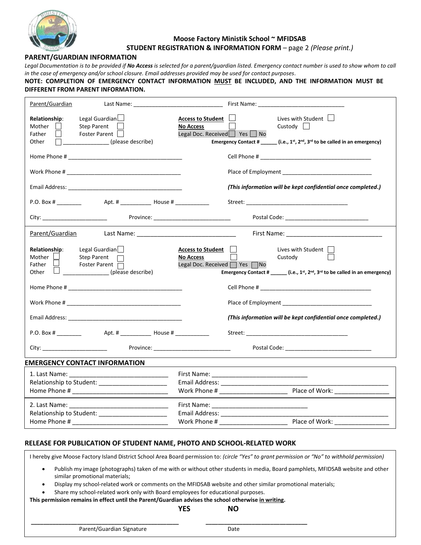

## **Moose Factory Ministik School ~ MFIDSAB STUDENT REGISTRATION & INFORMATION FORM** – page 2 *(Please print.)*

## **PARENT/GUARDIAN INFORMATION**

Legal Documentation is to be provided if **No Access** is selected for a parent/quardian listed. Emergency contact number is used to show whom to call *in the case of emergency and/or school closure. Email addresses provided may be used for contact purposes.*

#### **NOTE: COMPLETION OF EMERGENCY CONTACT INFORMATION MUST BE INCLUDED, AND THE INFORMATION MUST BE DIFFERENT FROM PARENT INFORMATION.**

| Parent/Guardian                                                                                                                                                                                                                                                                                                                                                                                                                                                                                                                    |                                                                                                                                                                                                                              |
|------------------------------------------------------------------------------------------------------------------------------------------------------------------------------------------------------------------------------------------------------------------------------------------------------------------------------------------------------------------------------------------------------------------------------------------------------------------------------------------------------------------------------------|------------------------------------------------------------------------------------------------------------------------------------------------------------------------------------------------------------------------------|
| Legal Guardian<br>Relationship:<br><b>Step Parent</b><br>Mother<br>Foster Parent<br>Father<br>(please describe)<br>Other                                                                                                                                                                                                                                                                                                                                                                                                           | Access to Student<br>Lives with Student $\Box$<br>Custody $\Box$<br><b>No Access</b><br>Legal Doc. Received Yes No<br>Emergency Contact # ______ (i.e., $1^{st}$ , $2^{nd}$ , $3^{rd}$ to be called in an emergency)         |
|                                                                                                                                                                                                                                                                                                                                                                                                                                                                                                                                    |                                                                                                                                                                                                                              |
|                                                                                                                                                                                                                                                                                                                                                                                                                                                                                                                                    |                                                                                                                                                                                                                              |
|                                                                                                                                                                                                                                                                                                                                                                                                                                                                                                                                    | (This information will be kept confidential once completed.)                                                                                                                                                                 |
| P.O. Box #<br>Apt. # ________________ House # _____________                                                                                                                                                                                                                                                                                                                                                                                                                                                                        |                                                                                                                                                                                                                              |
| City: _____________________________                                                                                                                                                                                                                                                                                                                                                                                                                                                                                                | Province: _______________________________                                                                                                                                                                                    |
|                                                                                                                                                                                                                                                                                                                                                                                                                                                                                                                                    |                                                                                                                                                                                                                              |
| Legal Guardian<br><b>Relationship:</b><br>Mother<br><b>Step Parent</b><br>Father<br>Foster Parent<br>$\frac{1}{\sqrt{1-\frac{1}{2}}\sqrt{1-\frac{1}{2}}\sqrt{1-\frac{1}{2}}\sqrt{1-\frac{1}{2}}\sqrt{1-\frac{1}{2}}\sqrt{1-\frac{1}{2}}\sqrt{1-\frac{1}{2}}\sqrt{1-\frac{1}{2}}\sqrt{1-\frac{1}{2}}\sqrt{1-\frac{1}{2}}\sqrt{1-\frac{1}{2}}\sqrt{1-\frac{1}{2}}\sqrt{1-\frac{1}{2}}\sqrt{1-\frac{1}{2}}\sqrt{1-\frac{1}{2}}\sqrt{1-\frac{1}{2}}\sqrt{1-\frac{1}{2}}\sqrt{1-\frac{1}{2}}\sqrt{1-\frac{1}{2}}\sqrt{1-\frac$<br>Other | Access to Student    <br>Lives with Student    <br><b>No Access</b><br>Custody<br>Legal Doc. Received $\Box$ Yes $\Box$ No<br>Emergency Contact # ______ (i.e., $1^{st}$ , $2^{nd}$ , $3^{rd}$ to be called in an emergency) |
|                                                                                                                                                                                                                                                                                                                                                                                                                                                                                                                                    |                                                                                                                                                                                                                              |
|                                                                                                                                                                                                                                                                                                                                                                                                                                                                                                                                    |                                                                                                                                                                                                                              |
| Email Address: The Contract of the Contract of the Contract of the Contract of the Contract of the Contract of the Contract of the Contract of the Contract of the Contract of the Contract of the Contract of the Contract of                                                                                                                                                                                                                                                                                                     | (This information will be kept confidential once completed.)                                                                                                                                                                 |
|                                                                                                                                                                                                                                                                                                                                                                                                                                                                                                                                    |                                                                                                                                                                                                                              |
|                                                                                                                                                                                                                                                                                                                                                                                                                                                                                                                                    |                                                                                                                                                                                                                              |
| <b>EMERGENCY CONTACT INFORMATION</b>                                                                                                                                                                                                                                                                                                                                                                                                                                                                                               |                                                                                                                                                                                                                              |
|                                                                                                                                                                                                                                                                                                                                                                                                                                                                                                                                    |                                                                                                                                                                                                                              |
| Relationship to Student: ________________________                                                                                                                                                                                                                                                                                                                                                                                                                                                                                  |                                                                                                                                                                                                                              |
|                                                                                                                                                                                                                                                                                                                                                                                                                                                                                                                                    |                                                                                                                                                                                                                              |
|                                                                                                                                                                                                                                                                                                                                                                                                                                                                                                                                    |                                                                                                                                                                                                                              |
| Relationship to Student: _______________________                                                                                                                                                                                                                                                                                                                                                                                                                                                                                   |                                                                                                                                                                                                                              |
|                                                                                                                                                                                                                                                                                                                                                                                                                                                                                                                                    |                                                                                                                                                                                                                              |
|                                                                                                                                                                                                                                                                                                                                                                                                                                                                                                                                    |                                                                                                                                                                                                                              |

## **RELEASE FOR PUBLICATION OF STUDENT NAME, PHOTO AND SCHOOL-RELATED WORK**

I hereby give Moose Factory Island District School Area Board permission to: *(circle "Yes" to grant permission or "No" to withhold permission)*

- Publish my image (photographs) taken of me with or without other students in media, Board pamphlets, MFIDSAB website and other similar promotional materials;
- Display my school-related work or comments on the MFIDSAB website and other similar promotional materials;
- Share my school-related work only with Board employees for educational purposes.

**This permission remains in effect until the Parent/Guardian advises the school otherwise in writing.**

**\_\_\_\_\_\_\_\_\_\_\_\_\_\_\_\_\_\_\_\_\_\_\_\_\_\_\_\_\_\_\_\_\_\_\_\_\_\_\_\_\_\_\_\_\_\_\_\_ \_\_\_\_\_\_\_\_\_\_\_\_\_\_\_\_\_\_\_\_\_\_\_\_\_\_\_\_\_\_\_\_\_**

#### **YES NO**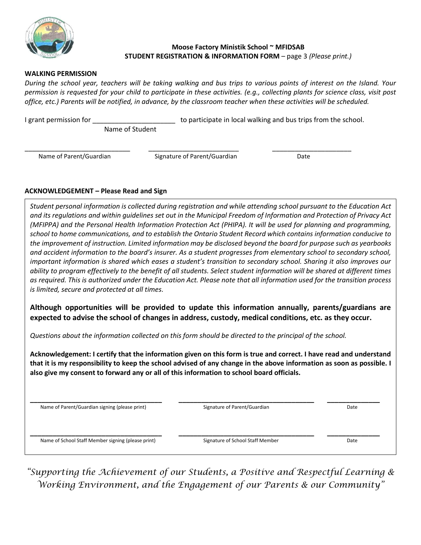

# **Moose Factory Ministik School ~ MFIDSAB STUDENT REGISTRATION & INFORMATION FORM** – page 3 *(Please print.)*

# **WALKING PERMISSION**

*During the school year, teachers will be taking walking and bus trips to various points of interest on the Island. Your permission is requested for your child to participate in these activities. (e.g., collecting plants for science class, visit post office, etc.) Parents will be notified, in advance, by the classroom teacher when these activities will be scheduled.*

I grant permission for \_\_\_\_\_\_\_\_\_\_\_\_\_\_\_\_\_\_\_\_\_\_\_\_\_\_\_\_\_ to participate in local walking and bus trips from the school. Name of Student

**Name of Parent/Guardian Signature of Parent/Guardian Date** 

\_\_\_\_\_\_\_\_\_\_\_\_\_\_\_\_\_\_\_\_\_\_\_\_\_\_\_\_ \_\_\_\_\_\_\_\_\_\_\_\_\_\_\_\_\_\_\_\_\_\_\_\_ \_\_\_\_\_\_\_\_\_\_\_\_\_\_\_\_\_\_\_\_\_

# **ACKNOWLEDGEMENT – Please Read and Sign**

*Student personal information is collected during registration and while attending school pursuant to the Education Act and its regulations and within guidelines set out in the Municipal Freedom of Information and Protection of Privacy Act (MFIPPA) and the Personal Health Information Protection Act (PHIPA). It will be used for planning and programming, school to home communications, and to establish the Ontario Student Record which contains information conducive to the improvement of instruction. Limited information may be disclosed beyond the board for purpose such as yearbooks and accident information to the board's insurer. As a student progresses from elementary school to secondary school, important information is shared which eases a student's transition to secondary school. Sharing it also improves our ability to program effectively to the benefit of all students. Select student information will be shared at different times as required. This is authorized under the Education Act. Please note that all information used for the transition process is limited, secure and protected at all times.*

**Although opportunities will be provided to update this information annually, parents/guardians are expected to advise the school of changes in address, custody, medical conditions, etc. as they occur.** 

*Questions about the information collected on this form should be directed to the principal of the school.*

**Acknowledgement: I certify that the information given on this form is true and correct. I have read and understand that it is my responsibility to keep the school advised of any change in the above information as soon as possible. I also give my consent to forward any or all of this information to school board officials.**

**Name of Parent/Guardian signing (please print) Signature of Parent/Guardian According the Signature of Parent/Guardian Date** 

**\_\_\_\_\_\_\_\_\_\_\_\_\_\_\_\_\_\_\_\_\_\_\_\_\_\_\_\_\_\_\_\_\_\_\_ \_\_\_\_\_\_\_\_\_\_\_\_\_\_\_\_\_\_\_\_\_\_\_\_\_\_\_\_\_\_\_\_\_\_\_\_ \_\_\_\_\_\_\_\_\_\_\_\_\_\_**

Name of School Staff Member signing (please print) Signature of School Staff Member Date

*"Supporting the Achievement of our Students, a Positive and Respectful Learning & Working Environment, and the Engagement of our Parents & our Community"*

**\_\_\_\_\_\_\_\_\_\_\_\_\_\_\_\_\_\_\_\_\_\_\_\_\_\_\_\_\_\_\_\_\_\_\_ \_\_\_\_\_\_\_\_\_\_\_\_\_\_\_\_\_\_\_\_\_\_\_\_\_\_\_\_\_\_\_\_\_\_\_\_ \_\_\_\_\_\_\_\_\_\_\_\_\_\_**